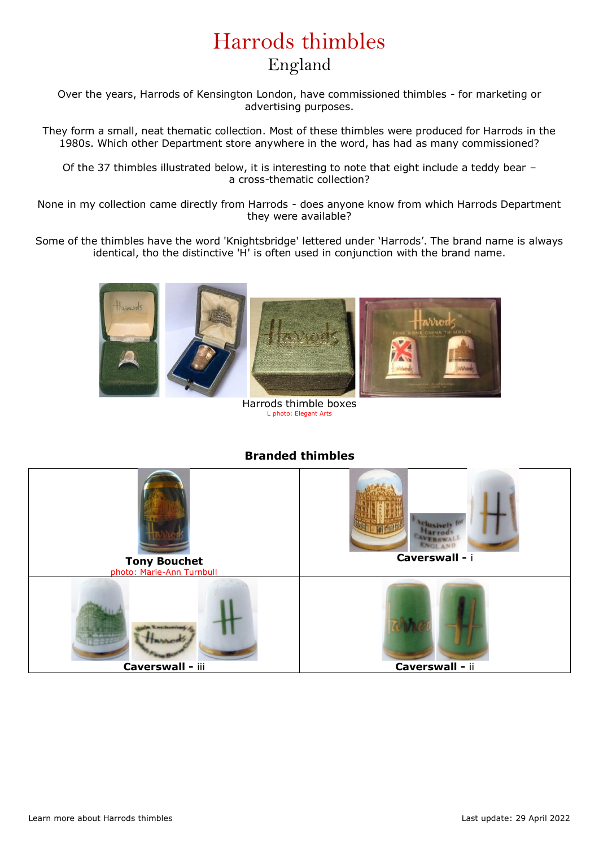## Harrods thimbles England

Over the years, Harrods of Kensington London, have commissioned thimbles - for marketing or advertising purposes.

They form a small, neat thematic collection. Most of these thimbles were produced for Harrods in the 1980s. Which other Department store anywhere in the word, has had as many commissioned?

Of the 37 thimbles illustrated below, it is interesting to note that eight include a teddy bear – a cross-thematic collection?

None in my collection came directly from Harrods - does anyone know from which Harrods Department they were available?

Some of the thimbles have the word 'Knightsbridge' lettered under 'Harrods'. The brand name is always identical, tho the distinctive 'H' is often used in conjunction with the brand name.



Harrods thimble boxes L photo: Elegant Arts

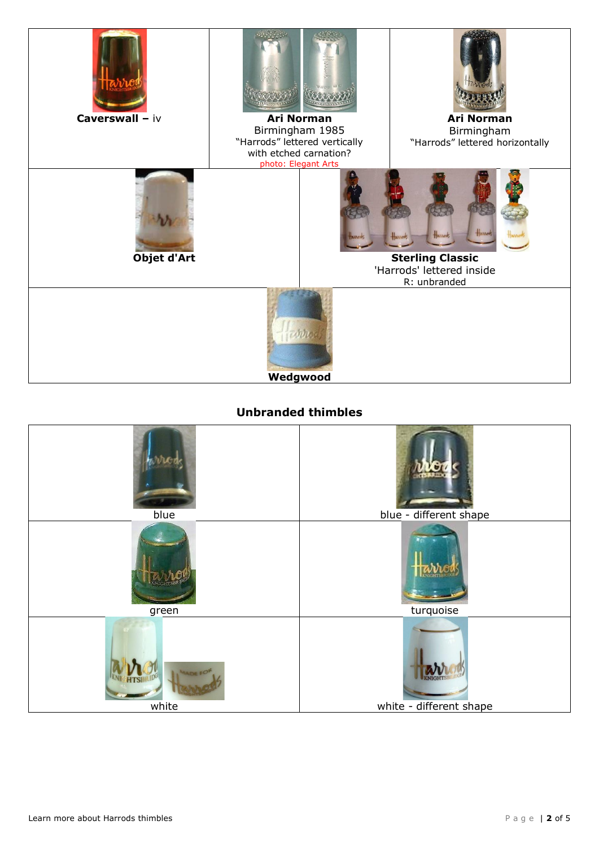

## **Unbranded thimbles**

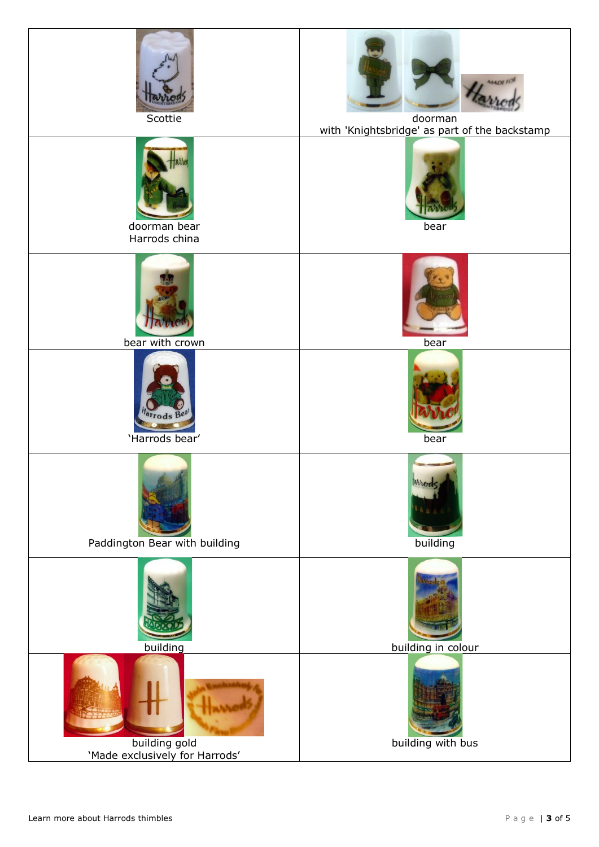| Scottie                                         | <b>MADE FI</b><br>doorman<br>with 'Knightsbridge' as part of the backstamp |
|-------------------------------------------------|----------------------------------------------------------------------------|
| doorman bear<br>Harrods china                   | bear                                                                       |
| bear with crown                                 | bear                                                                       |
| <sup>arrodsBe</sup><br>'Harrods bear'           | bear                                                                       |
| Paddington Bear with building                   | wuca<br>building                                                           |
| building                                        | building in colour                                                         |
| building gold<br>'Made exclusively for Harrods' | building with bus                                                          |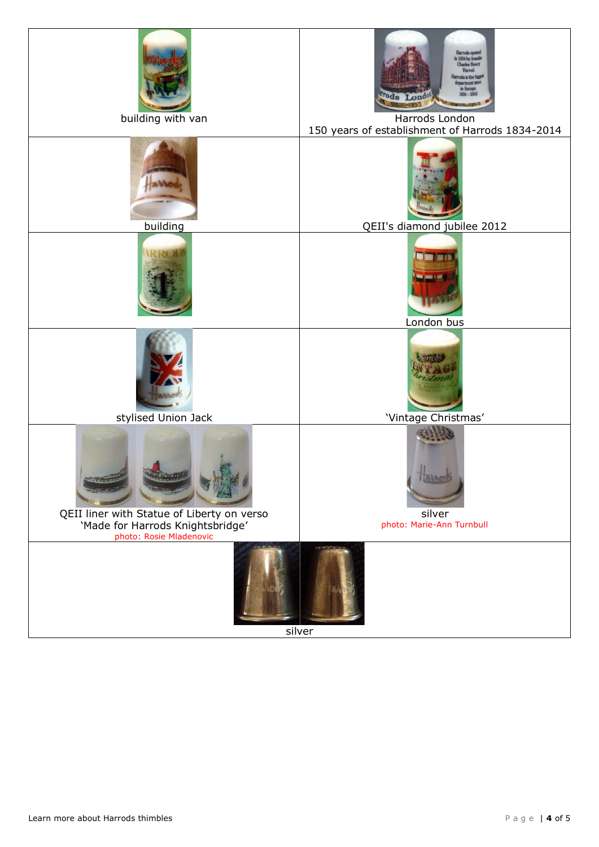